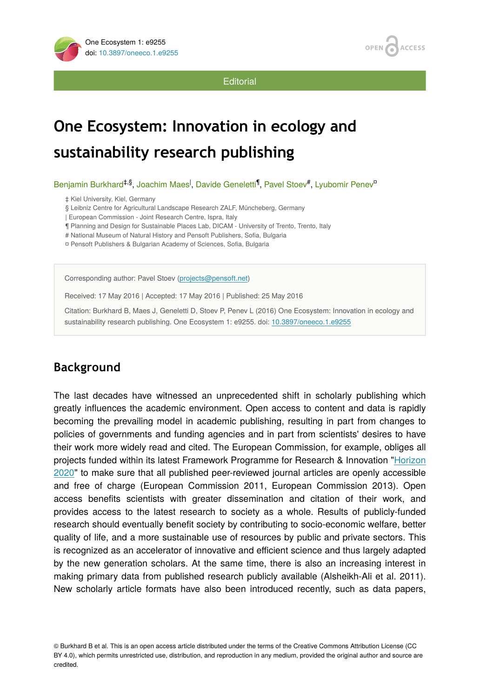

**Editorial** 

# **One Ecosystem: Innovation in ecology and sustainability research publishing**

Benjamin Burkhard<sup>‡,§</sup>, Joachim Maes<sup>l</sup>, Davide Geneletti<sup>¶</sup>, Pavel Stoev<sup>#</sup>, Lyubomir Penev<sup>a</sup>

‡ Kiel University, Kiel, Germany

§ Leibniz Centre for Agricultural Landscape Research ZALF, Müncheberg, Germany

| European Commission - Joint Research Centre, Ispra, Italy

¶ Planning and Design for Sustainable Places Lab, DICAM - University of Trento, Trento, Italy

# National Museum of Natural History and Pensoft Publishers, Sofia, Bulgaria

¤ Pensoft Publishers & Bulgarian Academy of Sciences, Sofia, Bulgaria

Corresponding author: Pavel Stoev [\(projects@pensoft.net](mailto:projects@pensoft.net?subject=Your%20manuscript%20in%20PWT%20#5629/One%20Ecosystem%20#9255))

Received: 17 May 2016 | Accepted: 17 May 2016 | Published: 25 May 2016

Citation: Burkhard B, Maes J, Geneletti D, Stoev P, Penev L (2016) One Ecosystem: Innovation in ecology and sustainability research publishing. One Ecosystem 1: e9255. doi: [10.3897/oneeco.1.e9255](http://dx.doi.org/10.3897/oneeco.1.e9255)

# **Background**

The last decades have witnessed an unprecedented shift in scholarly publishing which greatly influences the academic environment. Open access to content and data is rapidly becoming the prevailing model in academic publishing, resulting in part from changes to policies of governments and funding agencies and in part from scientists' desires to have their work more widely read and cited. The European Commission, for example, obliges all projects funded within its latest Framework Programme for Research & Innovation ["Horizon](https://ec.europa.eu/programmes/horizon2020/) [2020](https://ec.europa.eu/programmes/horizon2020/)" to make sure that all published peer-reviewed journal articles are openly accessible and free of charge (European Commission 2011, European Commission 2013). Open access benefits scientists with greater dissemination and citation of their work, and provides access to the latest research to society as a whole. Results of publicly-funded research should eventually benefit society by contributing to socio-economic welfare, better quality of life, and a more sustainable use of resources by public and private sectors. This is recognized as an accelerator of innovative and efficient science and thus largely adapted by the new generation scholars. At the same time, there is also an increasing interest in making primary data from published research publicly available (Alsheikh-Ali et al. 2011). New scholarly article formats have also been introduced recently, such as data papers,

© Burkhard B et al. This is an open access article distributed under the terms of the Creative Commons Attribution License (CC BY 4.0), which permits unrestricted use, distribution, and reproduction in any medium, provided the original author and source are credited.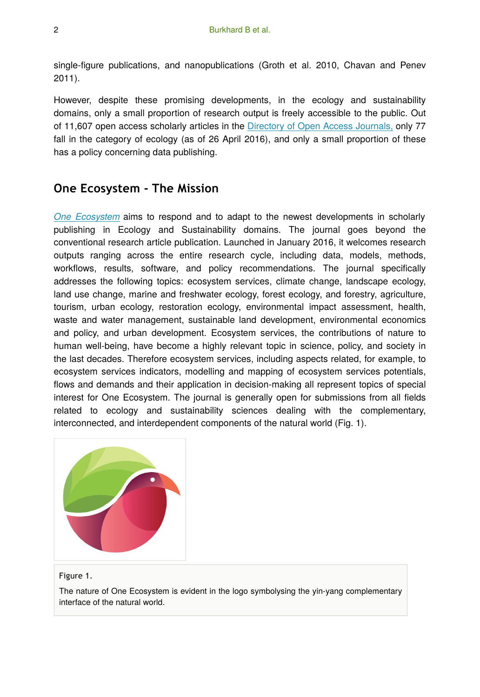single-figure publications, and nanopublications (Groth et al. 2010, Chavan and Penev 2011).

However, despite these promising developments, in the ecology and sustainability domains, only a small proportion of research output is freely accessible to the public. Out of 11,607 open access scholarly articles in the [Directory of Open Access Journals,](https://doaj.org/) only 77 fall in the category of ecology (as of 26 April 2016), and only a small proportion of these has a policy concerning data publishing.

## **One Ecosystem - The Mission**

*[One Ecosystem](http://oneecosystem.pensoft.net/)* aims to respond and to adapt to the newest developments in scholarly publishing in Ecology and Sustainability domains. The journal goes beyond the conventional research article publication. Launched in January 2016, it welcomes research outputs ranging across the entire research cycle, including data, models, methods, workflows, results, software, and policy recommendations. The journal specifically addresses the following topics: ecosystem services, climate change, landscape ecology, land use change, marine and freshwater ecology, forest ecology, and forestry, agriculture, tourism, urban ecology, restoration ecology, environmental impact assessment, health, waste and water management, sustainable land development, environmental economics and policy, and urban development. Ecosystem services, the contributions of nature to human well-being, have become a highly relevant topic in science, policy, and society in the last decades. Therefore ecosystem services, including aspects related, for example, to ecosystem services indicators, modelling and mapping of ecosystem services potentials, flows and demands and their application in decision-making all represent topics of special interest for One Ecosystem. The journal is generally open for submissions from all fields related to ecology and sustainability sciences dealing with the complementary, interconnected, and interdependent components of the natural world (Fig. 1).



#### Figure 1.

The nature of One Ecosystem is evident in the logo symbolysing the yin-yang complementary interface of the natural world.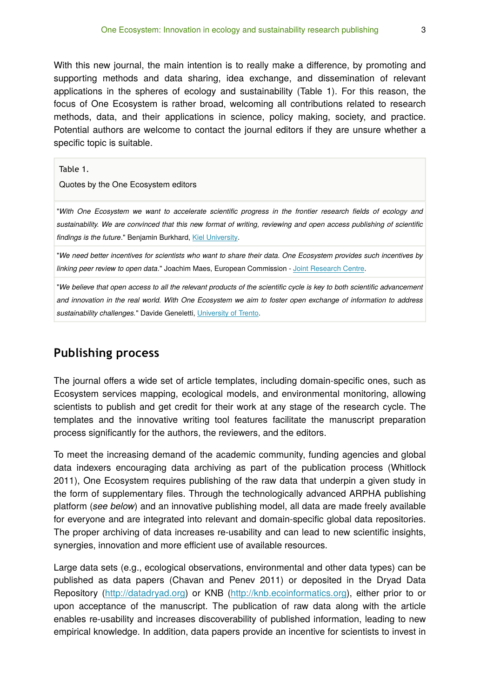With this new journal, the main intention is to really make a difference, by promoting and supporting methods and data sharing, idea exchange, and dissemination of relevant applications in the spheres of ecology and sustainability (Table 1). For this reason, the focus of One Ecosystem is rather broad, welcoming all contributions related to research methods, data, and their applications in science, policy making, society, and practice. Potential authors are welcome to contact the journal editors if they are unsure whether a specific topic is suitable.

Table 1.

Quotes by the One Ecosystem editors

"*With One Ecosystem we want to accelerate scientific progress in the frontier research fields of ecology and sustainability. We are convinced that this new format of writing, reviewing and open access publishing of scientific findings is the future*." Benjamin Burkhard, [Kiel University.](http://www.uni-kiel.de/index-e.shtml)

"*We need better incentives for scientists who want to share their data. One Ecosystem provides such incentives by linking peer review to open data*." Joachim Maes, European Commission - [Joint Research Centre](https://ec.europa.eu/jrc/).

"*We believe that open access to all the relevant products of the scientific cycle is key to both scientific advancement and innovation in the real world. With One Ecosystem we aim to foster open exchange of information to address sustainability challenges.*" Davide Geneletti, [University of Trento](http://www.unitn.it/en).

## **Publishing process**

The journal offers a wide set of article templates, including domain-specific ones, such as Ecosystem services mapping, ecological models, and environmental monitoring, allowing scientists to publish and get credit for their work at any stage of the research cycle. The templates and the innovative writing tool features facilitate the manuscript preparation process significantly for the authors, the reviewers, and the editors.

To meet the increasing demand of the academic community, funding agencies and global data indexers encouraging data archiving as part of the publication process (Whitlock 2011), One Ecosystem requires publishing of the raw data that underpin a given study in the form of supplementary files. Through the technologically advanced ARPHA publishing platform (*see below*) and an innovative publishing model, all data are made freely available for everyone and are integrated into relevant and domain-specific global data repositories. The proper archiving of data increases re-usability and can lead to new scientific insights, synergies, innovation and more efficient use of available resources.

Large data sets (e.g., ecological observations, environmental and other data types) can be published as data papers (Chavan and Penev 2011) or deposited in the Dryad Data Repository [\(http://datadryad.org\)](http://datadryad.org) or KNB [\(http://knb.ecoinformatics.org\)](http://knb.ecoinformatics.org), either prior to or upon acceptance of the manuscript. The publication of raw data along with the article enables re-usability and increases discoverability of published information, leading to new empirical knowledge. In addition, data papers provide an incentive for scientists to invest in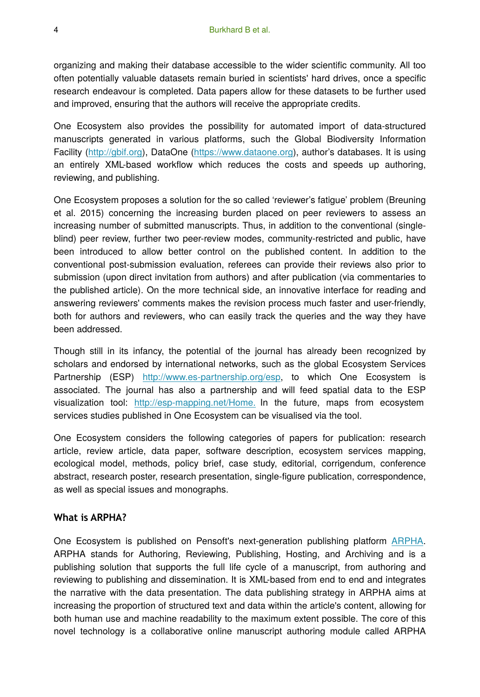organizing and making their database accessible to the wider scientific community. All too often potentially valuable datasets remain buried in scientists' hard drives, once a specific research endeavour is completed. Data papers allow for these datasets to be further used and improved, ensuring that the authors will receive the appropriate credits.

One Ecosystem also provides the possibility for automated import of data-structured manuscripts generated in various platforms, such the Global Biodiversity Information Facility [\(http://gbif.org\)](http://gbif.org/), DataOne [\(https://www.dataone.org\)](https://www.dataone.org), author's databases. It is using an entirely XML-based workflow which reduces the costs and speeds up authoring, reviewing, and publishing.

One Ecosystem proposes a solution for the so called 'reviewer's fatigue' problem (Breuning et al. 2015) concerning the increasing burden placed on peer reviewers to assess an increasing number of submitted manuscripts. Thus, in addition to the conventional (singleblind) peer review, further two peer-review modes, community-restricted and public, have been introduced to allow better control on the published content. In addition to the conventional post-submission evaluation, referees can provide their reviews also prior to submission (upon direct invitation from authors) and after publication (via commentaries to the published article). On the more technical side, an innovative interface for reading and answering reviewers' comments makes the revision process much faster and user-friendly, both for authors and reviewers, who can easily track the queries and the way they have been addressed.

Though still in its infancy, the potential of the journal has already been recognized by scholars and endorsed by international networks, such as the global Ecosystem Services Partnership (ESP) [http://www.es-partnership.org/esp,](http://www.es-partnership.org/esp) to which One Ecosystem is associated. The journal has also a partnership and will feed spatial data to the ESP visualization tool: [http://esp-mapping.net/Home.](http://esp-mapping.net/Home) In the future, maps from ecosystem services studies published in One Ecosystem can be visualised via the tool.

One Ecosystem considers the following categories of papers for publication: research article, review article, data paper, software description, ecosystem services mapping, ecological model, methods, policy brief, case study, editorial, corrigendum, conference abstract, research poster, research presentation, single-figure publication, correspondence, as well as special issues and monographs.

#### **What is ARPHA?**

One Ecosystem is published on Pensoft's next-generation publishing platform [ARPHA.](http://arphahub.com/) ARPHA stands for Authoring, Reviewing, Publishing, Hosting, and Archiving and is a publishing solution that supports the full life cycle of a manuscript, from authoring and reviewing to publishing and dissemination. It is XML-based from end to end and integrates the narrative with the data presentation. The data publishing strategy in ARPHA aims at increasing the proportion of structured text and data within the article's content, allowing for both human use and machine readability to the maximum extent possible. The core of this novel technology is a collaborative online manuscript authoring module called ARPHA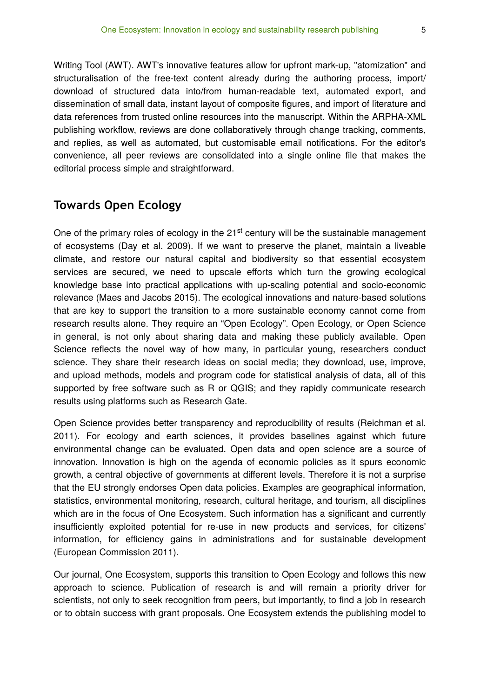Writing Tool (AWT). AWT's innovative features allow for upfront mark-up, "atomization" and structuralisation of the free-text content already during the authoring process, import/ download of structured data into/from human-readable text, automated export, and dissemination of small data, instant layout of composite figures, and import of literature and data references from trusted online resources into the manuscript. Within the ARPHA-XML publishing workflow, reviews are done collaboratively through change tracking, comments, and replies, as well as automated, but customisable email notifications. For the editor's convenience, all peer reviews are consolidated into a single online file that makes the editorial process simple and straightforward.

### **Towards Open Ecology**

One of the primary roles of ecology in the 21<sup>st</sup> century will be the sustainable management of ecosystems (Day et al. 2009). If we want to preserve the planet, maintain a liveable climate, and restore our natural capital and biodiversity so that essential ecosystem services are secured, we need to upscale efforts which turn the growing ecological knowledge base into practical applications with up-scaling potential and socio-economic relevance (Maes and Jacobs 2015). The ecological innovations and nature-based solutions that are key to support the transition to a more sustainable economy cannot come from research results alone. They require an "Open Ecology". Open Ecology, or Open Science in general, is not only about sharing data and making these publicly available. Open Science reflects the novel way of how many, in particular young, researchers conduct science. They share their research ideas on social media; they download, use, improve, and upload methods, models and program code for statistical analysis of data, all of this supported by free software such as R or QGIS; and they rapidly communicate research results using platforms such as Research Gate.

Open Science provides better transparency and reproducibility of results (Reichman et al. 2011). For ecology and earth sciences, it provides baselines against which future environmental change can be evaluated. Open data and open science are a source of innovation. Innovation is high on the agenda of economic policies as it spurs economic growth, a central objective of governments at different levels. Therefore it is not a surprise that the EU strongly endorses Open data policies. Examples are geographical information, statistics, environmental monitoring, research, cultural heritage, and tourism, all disciplines which are in the focus of One Ecosystem. Such information has a significant and currently insufficiently exploited potential for re-use in new products and services, for citizens' information, for efficiency gains in administrations and for sustainable development (European Commission 2011).

Our journal, One Ecosystem, supports this transition to Open Ecology and follows this new approach to science. Publication of research is and will remain a priority driver for scientists, not only to seek recognition from peers, but importantly, to find a job in research or to obtain success with grant proposals. One Ecosystem extends the publishing model to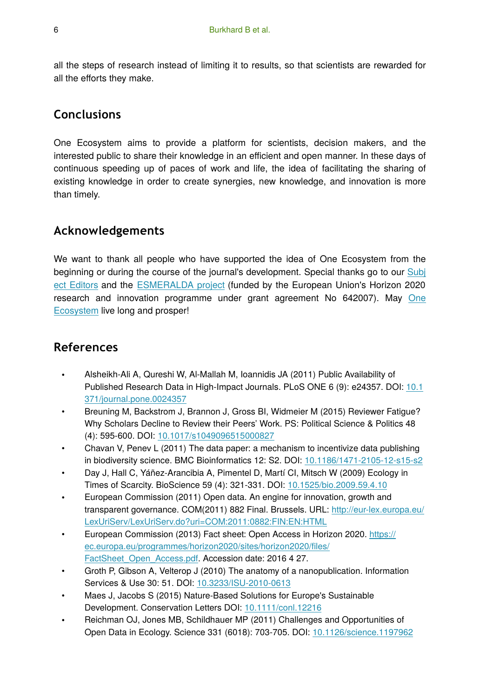all the steps of research instead of limiting it to results, so that scientists are rewarded for all the efforts they make.

## **Conclusions**

One Ecosystem aims to provide a platform for scientists, decision makers, and the interested public to share their knowledge in an efficient and open manner. In these days of continuous speeding up of paces of work and life, the idea of facilitating the sharing of existing knowledge in order to create synergies, new knowledge, and innovation is more than timely.

# **Acknowledgements**

We want to thank all people who have supported the idea of One Ecosystem from the beginning or during the course of the journal's development. Special thanks go to our [Subj](http://oneecosystem.pensoft.net/browse_journal_groups.php?role_id=3) [ect Editors](http://oneecosystem.pensoft.net/browse_journal_groups.php?role_id=3) and the [ESMERALDA project](http://esmeralda-project.eu/) (funded by the European Union's Horizon 2020 research and innovation programme under grant agreement No 642007). May [One](http://oneecosystem.pensoft.net/) [Ecosystem](http://oneecosystem.pensoft.net/) live long and prosper!

## **References**

- Alsheikh-Ali A, Qureshi W, Al-Mallah M, Ioannidis JA (2011) Public Availability of Published Research Data in High-Impact Journals. PLoS ONE 6 (9): e24357. DOI: [10.1](http://dx.doi.org/10.1371/journal.pone.0024357) [371/journal.pone.0024357](http://dx.doi.org/10.1371/journal.pone.0024357)
- Breuning M, Backstrom J, Brannon J, Gross BI, Widmeier M (2015) Reviewer Fatigue? Why Scholars Decline to Review their Peers' Work. PS: Political Science & Politics 48 (4): 595‑600. DOI: [10.1017/s1049096515000827](http://dx.doi.org/10.1017/s1049096515000827)
- Chavan V, Penev L (2011) The data paper: a mechanism to incentivize data publishing in biodiversity science. BMC Bioinformatics 12: S2. DOI: [10.1186/1471-2105-12-s15-s2](http://dx.doi.org/10.1186/1471-2105-12-s15-s2)
- Day J, Hall C, Yáñez-Arancibia A, Pimentel D, Martí CI, Mitsch W (2009) Ecology in Times of Scarcity. BioScience 59 (4): 321‑331. DOI: [10.1525/bio.2009.59.4.10](http://dx.doi.org/10.1525/bio.2009.59.4.10)
- European Commission (2011) Open data. An engine for innovation, growth and transparent governance. COM(2011) 882 Final. Brussels. URL: [http://eur-lex.europa.eu/](http://eur-lex.europa.eu/LexUriServ/LexUriServ.do?uri=COM:2011:0882:FIN:EN:HTML) [LexUriServ/LexUriServ.do?uri=COM:2011:0882:FIN:EN:HTML](http://eur-lex.europa.eu/LexUriServ/LexUriServ.do?uri=COM:2011:0882:FIN:EN:HTML)
- European Commission (2013) Fact sheet: Open Access in Horizon 2020. [https://](https://ec.europa.eu/programmes/horizon2020/sites/horizon2020/files/FactSheet_Open_Access.pdf) [ec.europa.eu/programmes/horizon2020/sites/horizon2020/](https://ec.europa.eu/programmes/horizon2020/sites/horizon2020/files/FactSheet_Open_Access.pdf)files/ FactSheet Open Access.pdf. Accession date: 2016 4 27.
- Groth P, Gibson A, Velterop J (2010) The anatomy of a nanopublication. Information Services & Use 30: 51. DOI: [10.3233/ISU-2010-0613](http://dx.doi.org/10.3233/ISU-2010-0613)
- Maes J, Jacobs S (2015) Nature-Based Solutions for Europe's Sustainable Development. Conservation Letters DOI: [10.1111/conl.12216](http://dx.doi.org/10.1111/conl.12216)
- Reichman OJ, Jones MB, Schildhauer MP (2011) Challenges and Opportunities of Open Data in Ecology. Science 331 (6018): 703-705. DOI: [10.1126/science.1197962](http://dx.doi.org/10.1126/science.1197962)